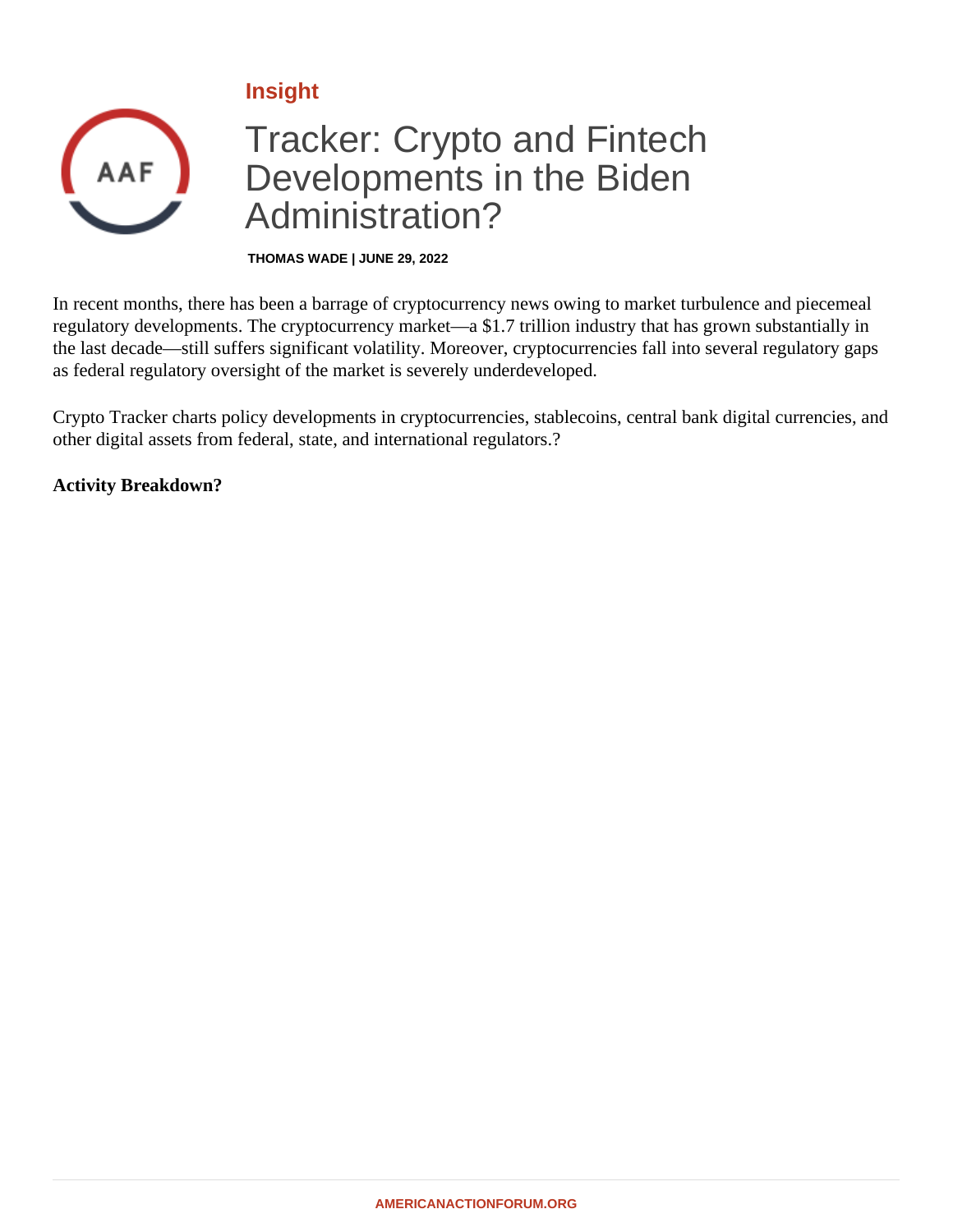



**THOMAS WADE | JUNE 29, 2022**

In recent months, there has been a barrage of cryptocurrency news owing to market turbulence and piecemeal regulatory developments. The cryptocurrency market—a \$1.7 trillion industry that has grown substantially in the last decade—still suffers significant volatility. Moreover, cryptocurrencies fall into several regulatory gaps as federal regulatory oversight of the market is severely underdeveloped.

Crypto Tracker charts policy developments in cryptocurrencies, stablecoins, central bank digital currencies, and other digital assets from federal, state, and international regulators.?

**Activity Breakdown?**

AAF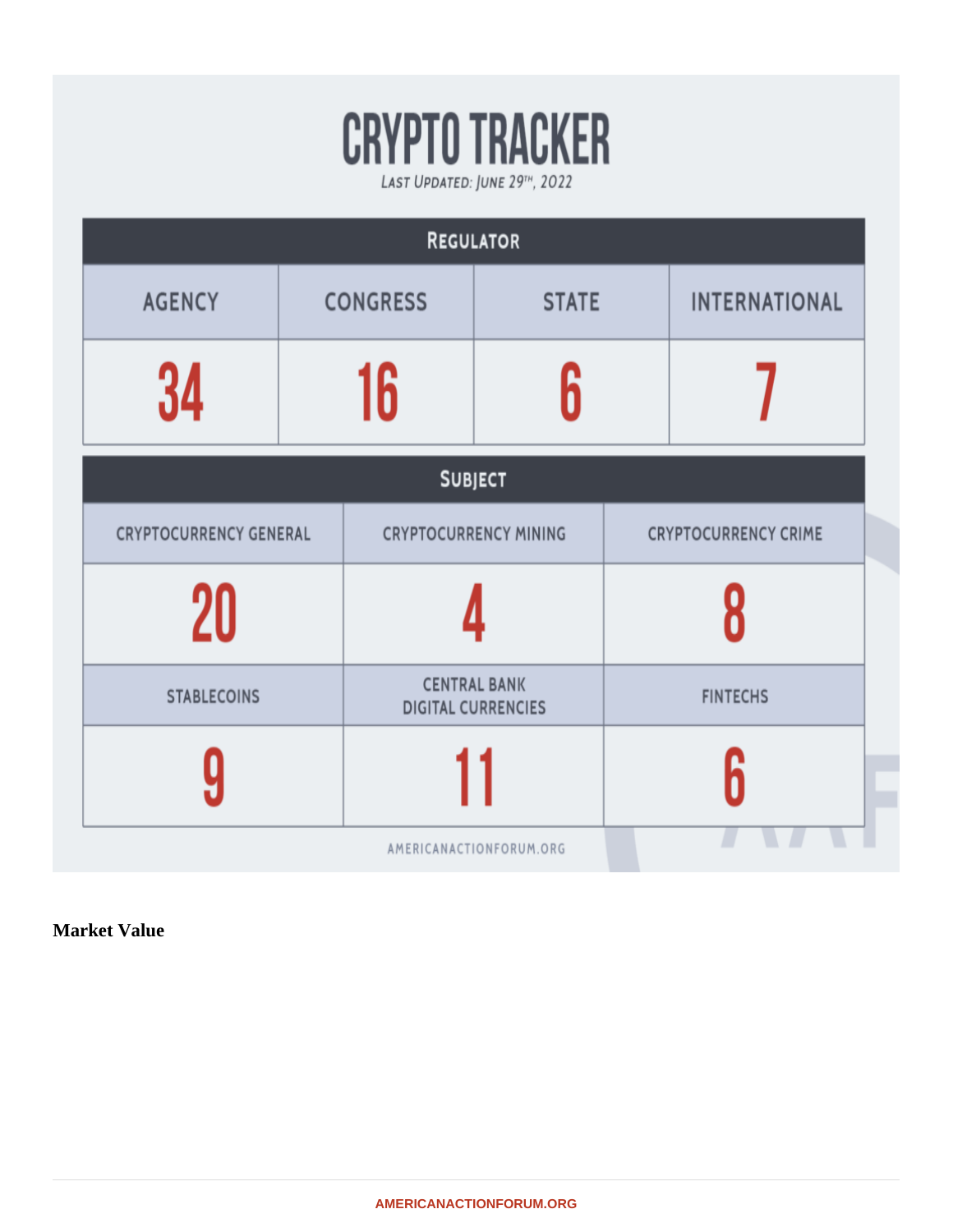Market Value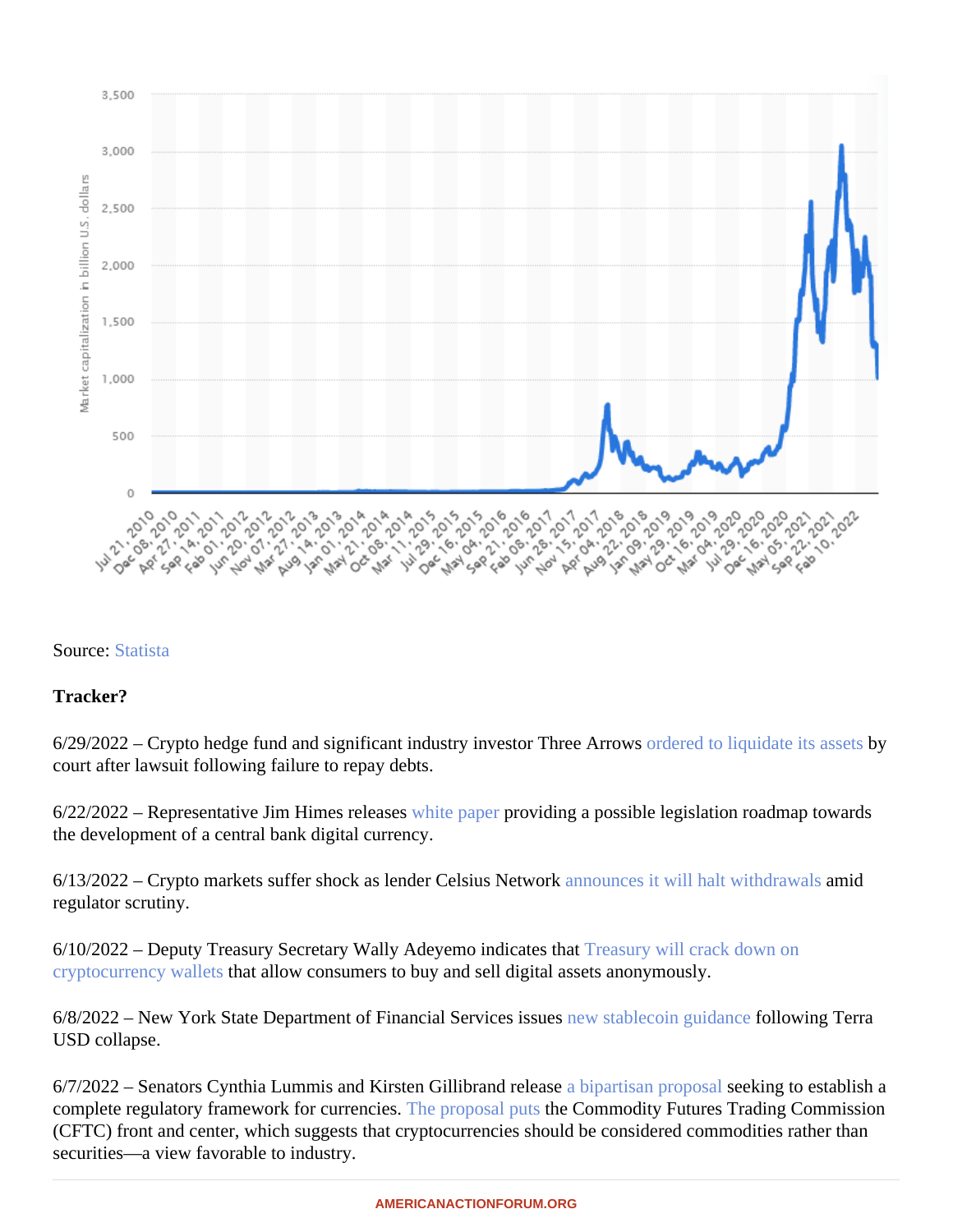Source Statista

Tracker?

6/29/2022– Crypto hedge fund and significant industry investor Three Arrows red to liquidate its assety court after lawsuit following failure to repay debts.

6/22/2022– Representative Jim Himes releaseste paper providing a possible legislation roadmap towards the development of a central bank digital currency.

6/13/2022–Crypto markets suffer shock as lender Celsius Network unces it will halt withdrawal amid regulator scrutiny.

6/10/2022- Deputy Treasury Secretaryally Adeyemo indicates that reasury will crack down on [cryptocurrency wallet](�� h t t p s : / / h o m e . t r e a s u r y . g o v / n e w s / p r e s s - r e l e a s e s / j y 0 8 1 4)thatallow consumers to buy and sell digital assets anonymously.

6/8/2022– New York State Department of Financial Services issues stablecoin guidandellowing Terra USD collapse.

6/7/2022– Senatos CynthiaLummis and Kirsten Gillibrand release bipartisan proposseeking to establish a complete regulatory framework for currenciese proposal putthe Commodity Futures Trading Commission (CFTC) front and center, which suggests that cryptocurrencies should be considered commodities rather than securities—a view favorable to industry.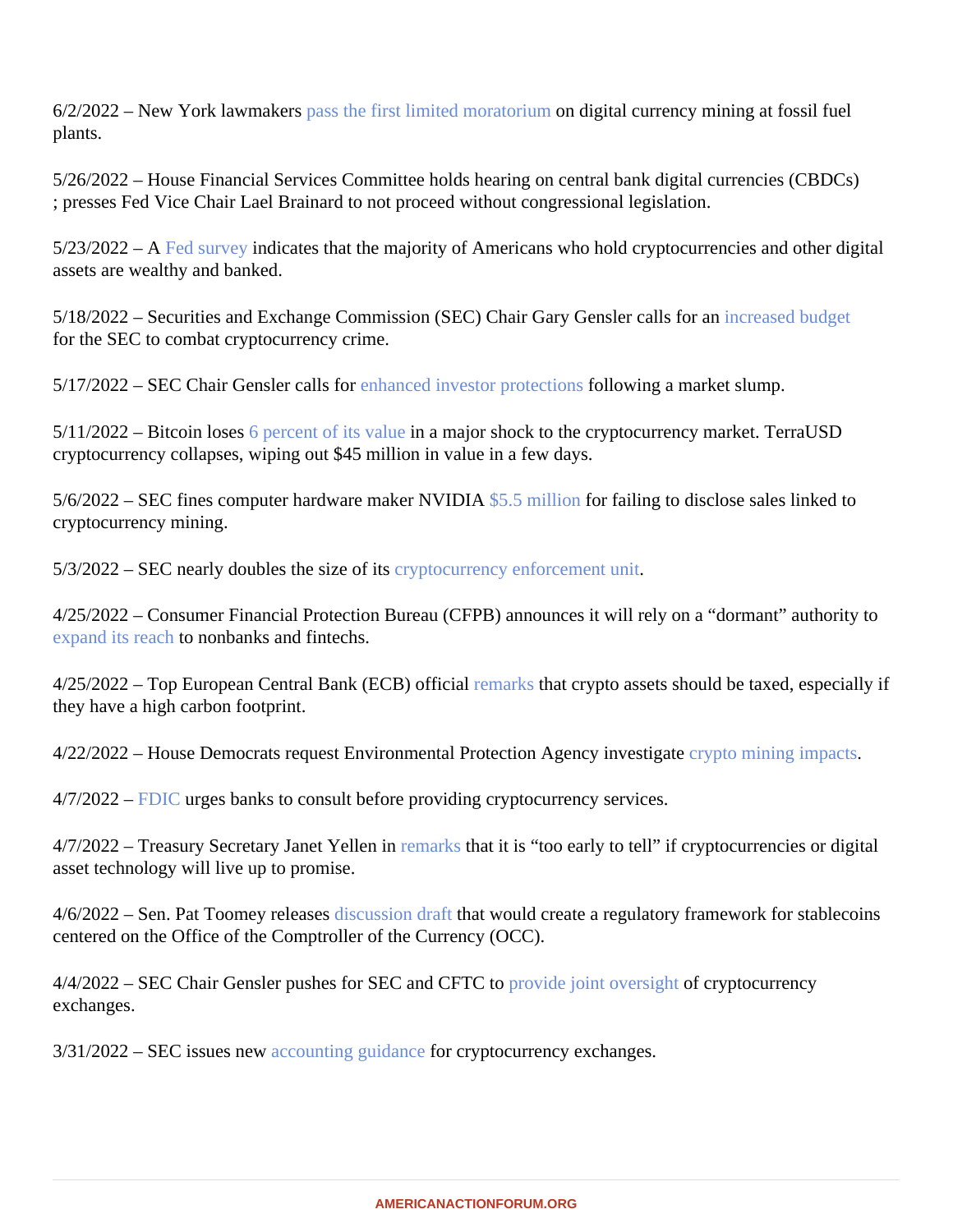6/2/2022– New York lawmaker pass the first limited moratorium digital currency mining at fossil fuel plants.

5/26/2022 House Financial Services Committee holds hearing on central bank digital cur(ements) ; presses Fed Vice Chaiael Brainard to not proceed without congressional legislation.

5/23/2022 A [Fed surve](�� h t t p s : / / w w w . f e d e r a l r e s e r v e . g o v / p u b l i c a t i o n s / f i l e s / 2 0 2 1 - r e p o r t - e c o n o m i c - w e l l - b e i n g - u s - h o u s e h o l d s - 2 0 2 2 0 5 . p d f ? s o u r c e = e m a i l)yindicates thathe majority of Americans who hold cryptocurrencies and other digital assets are wealthy and banked.

5/18/2022 – Securities and Exchange Commission (SECD) air Gary Gensler calls for a[n increased budg](�� h t t p s : / / w w w . c o i n d e s k . c o m / p o l i c y / 2 0 2 2 / 0 5 / 1 8 / s e c s - g e n s l e r - u s e s - c r y p t o - o v e r s i g h t - n e e d s - a s - c a s e - f o r - h i g h e r - b u d g e t /)et for the SEC to combat cryptocurrency crime.

5/17/2022–SEC Chair Gensler calls for hanced investor protectiofollowing a market slump.

5/11/2022Bitcoin lose **6** percent of its value a major shock to the cryptocurrency market. TerraUSD cryptocurrency collapses, wiping out \$45 million in value in a few days.

5/6/2022 – SEC fines computer hardware maker NVI[DIA \\$5.5 million](�� h t t p s : / / w w w . s e c . g o v / n e w s / p r e s s - r e l e a s e / 2 0 2 2 - 7 9) for failing to disclose sales linked to cryptocurrency mining.

5/3/2022– SEC nearly doubles the size of disptocurrency enforcement unit

4/25/2022 – Consumer Financial Protection Bureau (CFBB) ounces it will rely on a "dormant" authority to [expand its reac](�� h t t p s : / / w w w . a m e r i c a n a c t i o n f o r u m . o r g / i n s i g h t / c f p b - t o - r e l y - o n - d o r m a n t - a u t h o r i t y - t o - e x p a n d - r e a c h - t o - n o n b a n k s - a n d - f i n t e c h /)tononbanks and fintechs.

4/25/2022 – Top European Central Bank (ECB) ficial [remarks](�� h t t p s : / / w w w . e c b . e u r o p a . e u / p r e s s / k e y / d a t e / 2 0 2 2 / h t m l / e c b . s p 2 2 0 4 2 5 ~ 6 4 3 6 0 0 6 d b 0 . e n . h t m l ? s o u r c e = e m a i l) that crypto assets should be taxed, especially if they have a high carbon footprint.

4/22/2022 House Democrats request Frommental Protection Agency instigat[e crypto mining impact](�� h t t p s : / / w w w . c n b c . c o m / 2 0 2 2 / 0 4 / 2 2 / d e m o c r a t s - w a n t - e p a - t o - i n v e s t i g a t e - i m p a c t s - o f - c r y p t o - m i n i n g . h t m l)s[.](�� h t t p s : / / w w w . c n b c . c o m / 2 0 2 2 / 0 4 / 2 2 / d e m o c r a t s - w a n t - e p a - t o - i n v e s t i g a t e - i m p a c t s - o f - c r y p t o - m i n i n g . h t m l)

4/7/2022– [FDIC](�� h t t p s : / / w w w . f d i c . g o v / n e w s / f i n a n c i a l - i n s t i t u t i o n - l e t t e r s / 2 0 2 2 / f i l 2 2 0 1 6 . h t m l ? s o u r c e = g o v d e l i v e r y & u t m _ m e d i u m = e m a i l & u t m _ s o u r c e = g o v d e l i v e r y # l e t t e r) urges banks to consultefore providing cryptocurrency services.

4/7/2022– Treasury Secretar anet Yellen in [remarks](�� h t t p s : / / h o m e . t r e a s u r y . g o v / n e w s / p r e s s - r e l e a s e s / j y 0 7 0 6 ? s o u r c e = e m a i l) that it is "too early to tell" if cryptocurrencies or digital asset technology will live up to promise.

4/6/2022–Sen Pat Toomey releases scussion drafthat would create a regulatory framework for stablecoins centered on the foce of the Comptroller of the Currency (OCC).

4/4/2022– SEC Chair Gensler pushes for SEC and CFT Cotaide joint oversight cryptocurrency exchanges.

3/31/2022– SEC issues new counting guidanctor cryptocurrency exchanges.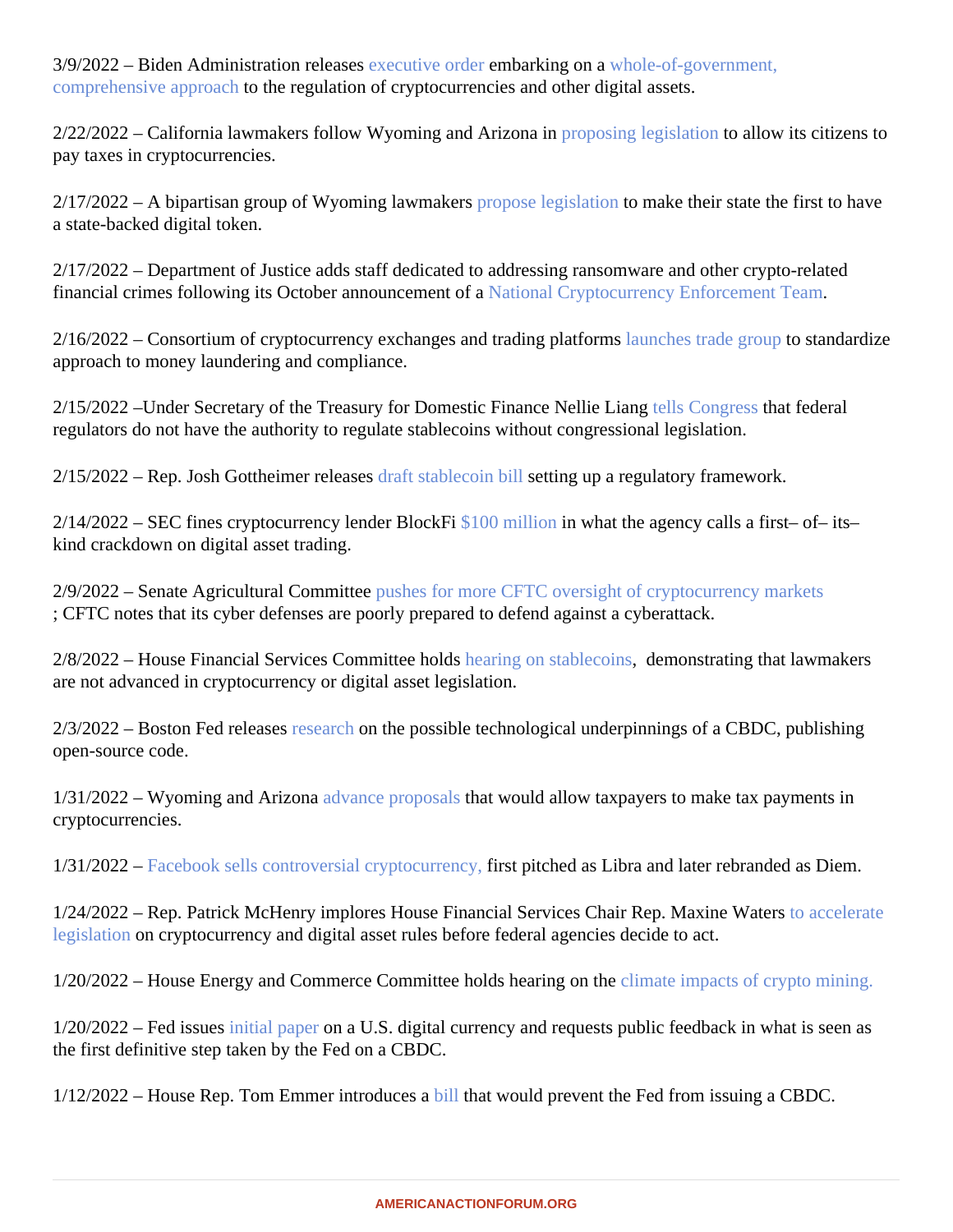3/9/2022 – Biden Administration releases ecutive order embarking on [a whole-of-government](�� h t t p s : / / w w w . a m e r i c a n a c t i o n f o r u m . o r g / i n s i g h t / p r e s i d e n t - b i d e n s - e x e c u t i v e - o r d e r - o n - c r y p t o - r e g u l a t i o n - a n d - d i g i t a l - a s s e t s /), [comprehensive approa](�� h t t p s : / / w w w . a m e r i c a n a c t i o n f o r u m . o r g / i n s i g h t / p r e s i d e n t - b i d e n s - e x e c u t i v e - o r d e r - o n - c r y p t o - r e g u l a t i o n - a n d - d i g i t a l - a s s e t s /)tothe regulation of cryptocurrencies and other digital assets.

2/22/2022– California lawmakers follow Wyoming and Arizona imposing legislation to allow its citizens to pay taxes in cryptocurrencies.

2/17/2022– A bipartisan group of Wyoming lawmaken spose legislatior to make their state the first to have a state-backed digital token.

2/17/2022 – Department of Justice adds staff dedicated to addressing ransomware and other crypto-related financial crimes following its October announcement blational Cryptocurrency Enforcement Team[.](�� h t t p s : / / w w w . j u s t i c e . g o v / o p a / p r / d e p u t y - a t t o r n e y - g e n e r a l - l i s a - o - m o n a c o - a n n o u n c e s - n a t i o n a l - c r y p t o c u r r e n c y - e n f o r c e m e n t - t e a m ? s o u r c e = e m a i l)

2/16/2022 – Consortium of cryptocurrency **exanges and trading platforms** unches trade group standardize approach to money laundering and compliance.

2/15/2022–Under Secretary of the Treasury for Domestic Finance Nelliang [tells Congres](�� h t t p s : / / w w w . p o l i t i c o . c o m / n e w s l e t t e r s / m o r n i n g - m o n e y / 2 0 2 2 / 0 2 / 1 6 / w h y - t h e - f e d - s t a l e m a t e - r e a l l y - m a t t e r s - 0 0 0 0 9 3 2 7)that federal regulators do not have the authority to regulate stablecoins without congressional legislation.

2/15/2022 – Rep. Josh Gottheimer release tratilistic singlection bill setting up a regulatory framework.

2/14/2022 – SEC fines cryptocurrency lender BlockFi00 million in what the agency calls a first f– its– kind crackdown on digital asset trading.

2/9/2022 – Senate Agricultural Committen as for more CFTC oversight of cryptocurrency markets ; CFTC notes that its cyber defenses are poorly prepared to defend against a cyberattack.

2/8/2022– House Financial Services Committee holdsring on stablecoins demonstrating that lawmakers are not advanced in cryptocurrency or digital asset legislation.

2/3/2022– Boston Fed releasessearcion the possible technological underpinnings of a CBDC, publishing open-source code.

1/31/2022– Wyoming and Arizona dyance proposathat would allow taxpayers to make tax payments in cryptocurrencies.

1/31/2022– [Facebook sells controversial cryptocurren](�� h t t p s : / / w w w . u s n e w s . c o m / n e w s / b u s i n e s s / a r t i c l e s / 2 0 2 2 - 0 2 - 0 1 / t h e - e n d - f a c e b o o k - b a c k e d - d i g i t a l - c u r r e n c y - d i e m - s o l d - t o - b a n k)ting pitched as Libra and later rebranded as Diem.

1/24/2022 – Rep. Patrick McHenry implores House Financial Services Chair Repoxine Watersto accelerate [legislation](�� h t t p s : / / r e p u b l i c a n s - f i n a n c i a l s e r v i c e s . h o u s e . g o v / n e w s / d o c u m e n t s i n g l e . a s p x ? D o c u m e n t I D = 4 0 8 2 3 5) on cryptocurrency and digital asset rules before federal agencies to bearde

1/20/2022 House Energy and Commerce Committee holds hearing on the compacts of crypto mining.

1/20/2022 Fed issue sitial paperon a U.S. digital currency and requests public feedback in what is seen as the first definitive step taken by the Fed on a CBDC.

1/12/2022 House RepTom Emmer introduces all that would prevent the Fed from issuing a CBDC.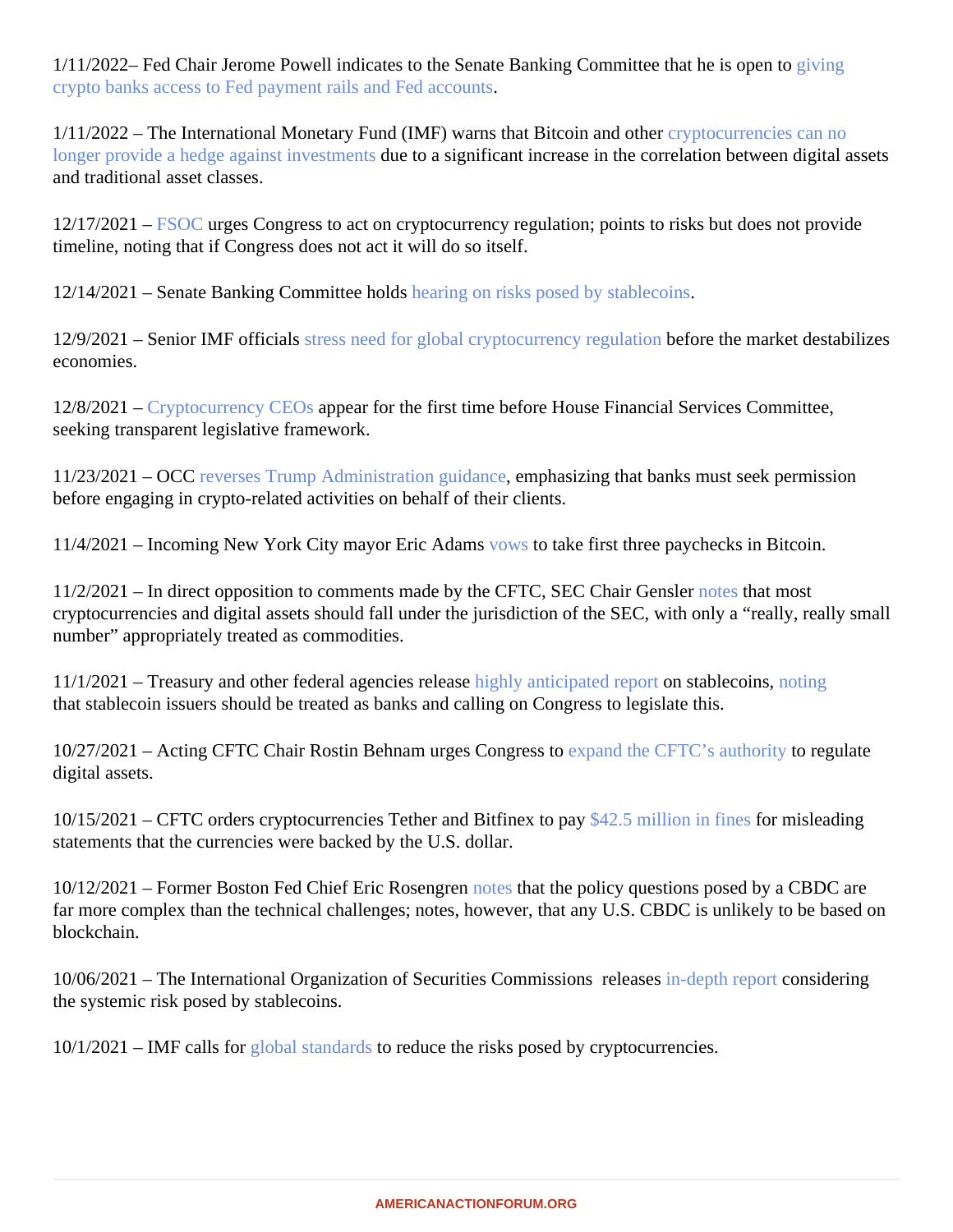1/11/2022– Fed Chaiderome Powell indicates to the Senate Banking Committee that he is open to [crypto banks access to Fed payment rails and Fed ac](�� h t t p s : / / d e c r y p t . c o / 9 0 1 8 6 / p o w e l l - l u m m i s - s p d i - k r a k e n - w y o m i n g)counts .

1/11/2022– The International Monetary FundMF) warns that Bitcoin and other *producurrencies* can no [longer provide a hedge against investm](�� h t t p s : / / w w w . p o l i t i c o . e u / w p - c o n t e n t / u p l o a d s / 2 0 2 2 / 0 1 / 1 1 / C r y p t o - P r i c e s - M o v e - M o r e - i n - S y n c - W i t h - S t o c k s - P o s i n g - N e w - R i s k s . p d f ? s o u r c e = e m a i l)ents to a significant increase in the correlation between digital assets and traditional asset classes.

12/17/2021 [FSOC](�� h t t p s : / / h o m e . t r e a s u r y . g o v / s y s t e m / f i l e s / 2 6 1 / F S O C 2 0 2 1 A n n u a l R e p o r t . p d f)urges Congress to act on cryptocurrency regulation ints to risks but does not provide timeline, noting that if Congress does not act it will do so itself.

12/14/2021 – Senate Banking Committee holds aring on risks posed by stablecoins

12/9/2021– Senior IMF officials tress need for global cryptocurrency regulation the market destabilizes economies.

12/8/2021– [Cryptocurrency CEO](�� h t t p s : / / w w w . n y t i m e s . c o m / 2 0 2 1 / 1 2 / 0 8 / b u s i n e s s / h o u s e - f i n a n c i a l - s e r v i c e s - c r y p t o . h t m l)appear for the first time before House Financial Services Committee, seeking transparent legislative framework.

11/23/2021 – OC[C reverses Trump Administration guidan](�� h t t p s : / / o c c . g o v / n e w s - i s s u a n c e s / n e w s - r e l e a s e s / 2 0 2 1 / n r - o c c - 2 0 2 1 - 1 2 1 . h t m l ? s o u r c e = e m a i l)emphasizing that banks must seek permission before engaging in crypto-related activities on behalf of their clients.

11/4/2021– Incoming New York City rayor Eric Adans [vows](�� h t t p s : / / t w i t t e r . c o m / e r i c a d a m s f o r n y c / s t a t u s / 1 4 5 6 3 1 1 8 2 7 5 5 0 3 8 4 1 2 9 ? s = 2 0 ) & s o u r c e = e m a i l) to take first three paychecks in Bitcoin.

11/2/2021– In direct opposition to comments made by the CFTC, Shair Genslenotesthat most cryptocurrencies and digital assets should fall under the jurisdiction of the SEC, with only a "really, really sma number" appropriately treated as commodities .

11/1/2021– Treasury and other federal agencies releasely anticipated report stablecoins, oting that stablecoin issuers should be treated as banks and calling on Congress to legislate this.

10/27/2021– Acting CFTC Chair Rostin Beham urges Congress to pand the CFTC's authorito regulate digital assets.

10/15/2021 – CFTC orders cryptocurrencies Tether and Bitfinex to pays million in fines for misleading statements that the currencies were backed by the U.S. dollar.

10/12/2021 Former Boston Fed hief Eric Rosegrennotes that the policy questions posed by a CBDG far more complex than the technical challenges; notes ever that any U.S. CBDC is unlikely to be based on blockchain.

10/06/2021The International Organization of Securities Commissions releasesth reportonsidering the systemic risk posed by stablecoins.

10/1/2021– IMF calls fo[r global standard](�� h t t p s : / / s t a t i c . p o l i t i c o . c o m / b 8 / 5 8 / c 3 4 6 a 6 a f 4 f e 2 8 a 9 5 3 8 e 5 c 9 a 5 a 3 2 e / 1 0 0 2 i m f c r y p t o 2 . p d f ? s o u r c e = e m a i l) to reduce the risks posed by cryptocurrencies.